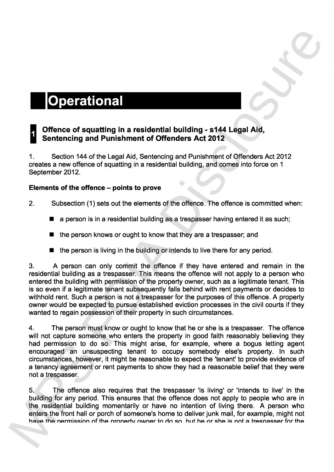**0**

# **Offence of squatting in a residential building - s144 Legal Aid, Sentencing and Punishment of Offenders Act 2012**

<sup>1</sup> . Section 144 of the Legal Aid, Sentencing and Punishment of Offenders Act 2012 creates a new offence of squatting in a residential building, and comes into force on 1 September 2012.

# **Elements of the** offence - points **to prove**

- 2. Subsection (1) sets out the elements of the offence . The offence is committed when :
	- **a person is in a residential building as a trespasser having entered it as such;**
	- the person knows or ought to know that they are a trespasser; and
	- the person is living in the building or intends to live there for any period.

**3**. **A person can only commit the offence if they have entered and remain in the residential building as a trespasser**. **This means the offence will not apply to a person who entered the building with permission of the prope**rt**y owner**, **such as a legitimate tenant** . **This is so even if a legitimate tenant subsequently falls behind with rent payments or decides to withhold rent**. **Such a person is not a trespasser for the purposes of this offence** . **A prope**rt**y owner would be expected to pursue established eviction processes in the civil courts if they** wanted to regain possession of their property in such circumstances.

**4**. **The person must know or ought to know that he or she is a trespasser** . **The offence** will not capture someone who enters the property in good faith reasonably believing they **had permission to do so** . **This might arise**, **for example**, **where a bogus letting agent encouraged an unsuspecting tenant to occupy somebody else's property. In such circumstances**, **however**, **it might be reasonable to expect the** '**tenant**' **to provide evidence of a tenancy agreement or rent payments to show they had a reasonable belief that they were not a trespasser**. **control of example in the narmon of the narmon of the narmon of the narmon of the narmon of the narmon of the narmon of the narmon of the narmon of the narmon of the narmon of the narmon of the narmon of the narmon of the** 

5. The offence also requires that the trespasser 'is living' or 'intends to live' in the building for any period. This ensures that the offence does not apply to people who are in the residential building momentarily or have no intention of living there . A person who enters the front hall or porch of someone's home to deliver junk mail, for example, might not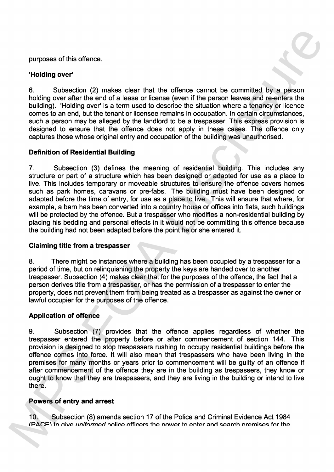**purposes of this offence** .

# '**Holding** over

**6**. Subsection (2) makes clear that the offence cannot be committed by a person **holding over after the end of a lease or license (even if the person leaves and re-enters the building)**. ' **Holding over**' **is a term used to describe the situation where a tenancy or licence comes to an end** , **but the tenant or licensee remains in occupation** . **In ce**rt**ain circumstances** , **such a person may be alleged by the landlord to be a trespasser**. **This express provision is designed to ensure that the offence does not apply in these cases** . **The offence only** captures those whose original entry and occupation of the building was unauthorised.

# Definition of Residential Building

**7**. **Subsection (3) defines the meaning of residential building** . **This includes any structure or pa**rt **of a structure which has been designed or adapted for use as a place to live** . **This includes tempora**ry **or moveable structures to ensure the offence covers homes such as park homes**, **caravans or pre-fabs**. **The building must have been designed or** adapted before the time of entry, for use as a place to live. This will ensure that where, for **example**, **a barn has been conve**rt**ed into a count**ry **house or offices into flats** , **such buildings will be protected by the offence** . **But a trespasser who modifies** a non-residential **building by placing his bedding and personal effects in it would not be commi**tt**ing this offence because the building had not been adapted before the point he or she entered it** . purposes of this offence.<br>
8. Subsection (2) makes clear that the offence cannot be committed by a person<br>
8. Subsection (3) makes clear that the offence cannot be committed by a person<br>
boding). Holding over also the end

### Claiming title from a trespasser

**8**. **There might be instances where a building has been occupied by a trespasser for a** period of time, but on relinguishing the property the keys are handed over to another **trespasser**. **Subsection (4) makes clear that for the purposes of the offence** , **the fact that a person derives title from a trespasser** , **or has the permission of a trespasser to enter the prope**rt**y**, **does not prevent them from being treated as a trespasser as against the owner or lawful occupier for the purposes of the offence** .

### Application of offence

**9**. **Subsection (7) provides that the offence applies regardless of whether the** trespasser entered the property before or after commencement of section 144. This **provision is designed to stop trespassers rushing to occupy residential buildings before the offence comes into force** . **It will also mean that trespassers who have been living in the premises for many months or years prior to commencement will be guilty of an offence if after commencement of the offence they are in the building as trespassers** , **they know or ought to know that they are trespassers** , **and they are living in the building or intend to live there**.

### Powers of entry and arrest

10. Subsection (8) amends section 17 of the Police and Criminal Evidence Act 1984<br>(PACF) to give uniformed police officers the nower to enter and search premises for the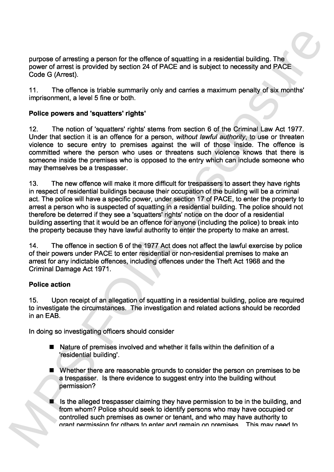**purpose of arresting a person for the offence of squatting in a residential building** . **The power of arrest is provided by section 24 of PACE and is subject to necessity and PACE Code G (Arrest)** .

**11** . **The offence is triable summarily only and carries a maximum penalty of six months** ' **imprisonment**, **a level 5 fine or both** .

# **Police powers and** '**squatters**' **rights**'

**12**. **The notion of 'squatters' rights' stems from section 6 of the Criminal Law Act 1977** . **Under that section it is an offence for a person** , **without lawful authority**, **to use or threaten violence to secure ent**ry **to premises against the will of those inside**. **The offence is committed where the person who uses or threatens such violence knows that there is someone inside the premises who is opposed to the ent**ry **which can include someone who may themselves be a trespasser** .

**13.** The new offence will make it more difficult for trespassers to assert they have rights **in respect of residential buildings because their occupation of the building will be a criminal** act. The police will have a specific power, under section 17 of PACE, to enter the property to **arrest a person who is suspected of squa**tt**ing in a residential building** . **The police should not therefore be deterred if they see a** '**squatters**' **rights**' **notice on the door of a residentia <sup>l</sup>** building asserting that it would be an offence for anyone (including the police) to break into the property because they have lawful authority to enter the property to make an arrest. purpose of arresting a person for the affence of squating in a residential building. The<br>power of arrest is provided by section 24 of PACE and is subject to necessary and PACE<br>Tools C (Arrest).<br>
11. The offered is triansfo

**14**. **The offence in section 6 of the 1977 Act does not affect the lawful exercise by police of their powers under PACE to enter residential or non-residential premises to make an arrest for any indictable offences** , **including offences under the Theft Act 1968 and the Criminal Damage Act 1971** .

### Police action

**15**. **Upon receipt of an allegation of squatting in a residential building** , **police are required to investigate the circumstances**. **The investigation and related actions should be recorded in an EAB** .

In doing so investigating officers should consider

- Nature of premises involved and whether it falls within the definition of a 'residential building'.
- Whether there are reasonable grounds to consider the person on premises to be **a trespasser**. **Is there evidence to suggest ent**ry **into the building without permission?**
	- Is the alleged trespasser claiming they have permission to be in the building, and from whom? Police should seek to identify persons who may have occupied or controlled such premises as owner or tenant, and who may have authority to orant permission for others to enter and remain on premises. This may need to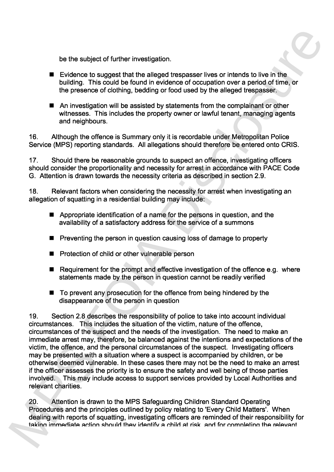be the subject of further investigation.

- Evidence to suggest that the alleged trespasser lives or intends to live in the **building** . **This could be found in evidence of occupation over a period of time**, **or the presence of clothing** , **bedding or food used by the alleged trespasser**.
- An investigation will be assisted by statements from the complainant or other **witnesses**. **This includes the prope**rt**y owner or lawful tenant**, **managing agents and neighbours** .

**16**. **Although the offence is Summa**ry **only it is recordable under Metropolitan Police** Service (MPS) reporting standards. All allegations should therefore be entered onto CRIS.

**17**. **Should there be reasonable grounds to suspect an offence** , **investigating officers** should consider the proportionality and necessity for arrest in accordance with PACE Code **G** . **Attention is drawn towards the necessity criteria as described in section 2** . **9** .

**18**. **Relevant factors when considering the necessity for arrest when investigating an allegation of squatting in a residential building may include** :

- **Appropriate identification of a name for the persons in question, and the availability of a satisfacto**ry **address for the service of a summon s**
- Preventing the person in question causing loss of damage to property
- Protection of child or other vulnerable person
- **Requirement for the prompt and effective investigation of the offence e.g. where** statements made by the person in question cannot be readily verified
- To prevent any prosecution for the offence from being hindered by the disappearance of the person in question

**19**. **Section 2**. **8 describes the responsibility of police to take into account individual circumstances**. **This includes the situation of the victim** , **nature of the offence** , **circumstances of the suspect and the needs of the investigation** . **The need to make an immediate arrest may** , **therefore** , **be balanced against the intentions and expectations of the victim**, **the offence** , **and the personal circumstances of the suspect**. **Investigating officers may be presented with a situation where a suspect is accompanied by children** , **or be otherwise deemed vulnerable** . **In these cases there may not be the need to make an arrest** if the officer assesses the priority is to ensure the safety and well being of those parties involved. This may include access to support services provided by Local Authorities and **relevant charities** . **the the authority from the final at realization.<br>
<b>Exidence to suppose that the the alleged transpare lives or interest of the live in the basis of the presence of orbitaing, bedding or food used by the alleged treepasse** 

20. Attention is drawn to the MPS Safeguarding Children Standard Operating Procedures and the principles outlined by policy relating to 'Every Child Matters'. When dealing with reports of squatting, investigating officers are reminded of their responsibility for<br>taking immediate action should they identify a child at risk, and for completing the relevant